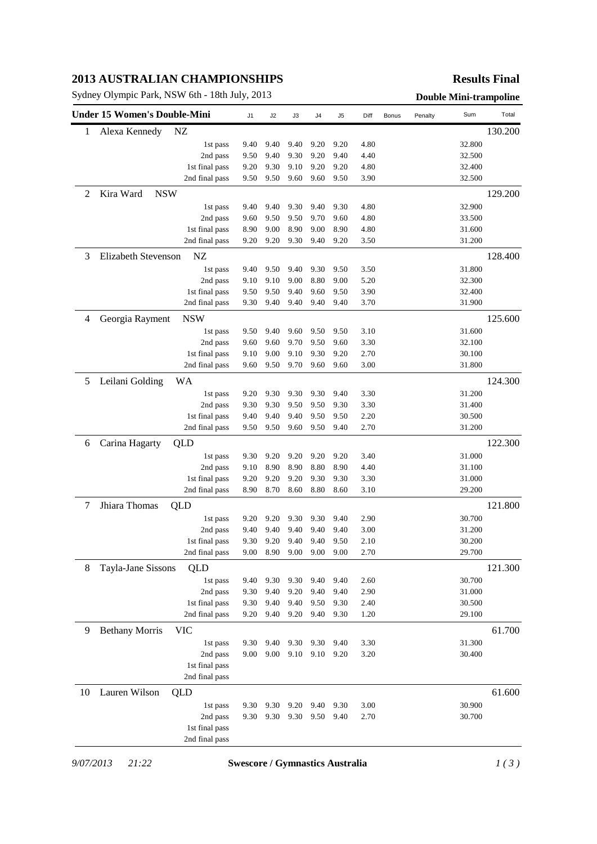# **2013 AUSTRALIAN CHAMPIONSHIPS**

Sydney Olympic Park, NSW 6th - 18th July, 2013 **Double Mini-trampoline** 

### **Results Final**

|    | <b>Under 15 Women's Double-Mini</b> |                | J1   | J2        | J3   | J4   | J5   | Diff | Bonus | Penalty | Sum     | Total   |
|----|-------------------------------------|----------------|------|-----------|------|------|------|------|-------|---------|---------|---------|
| 1  | Alexa Kennedy                       | NZ             |      |           |      |      |      |      |       |         |         | 130.200 |
|    |                                     | 1st pass       | 9.40 | 9.40      | 9.40 | 9.20 | 9.20 | 4.80 |       |         | 32.800  |         |
|    |                                     | 2nd pass       | 9.50 | 9.40      | 9.30 | 9.20 | 9.40 | 4.40 |       |         | 32.500  |         |
|    |                                     | 1st final pass | 9.20 | 9.30      | 9.10 | 9.20 | 9.20 | 4.80 |       |         | 32.400  |         |
|    |                                     | 2nd final pass | 9.50 | 9.50      | 9.60 | 9.60 | 9.50 | 3.90 |       |         | 32.500  |         |
| 2  | Kira Ward<br><b>NSW</b>             |                |      |           |      |      |      |      |       |         |         | 129.200 |
|    |                                     | 1st pass       | 9.40 | 9.40      | 9.30 | 9.40 | 9.30 | 4.80 |       |         | 32.900  |         |
|    |                                     | 2nd pass       | 9.60 | 9.50      | 9.50 | 9.70 | 9.60 | 4.80 |       |         | 33.500  |         |
|    |                                     | 1st final pass | 8.90 | 9.00      | 8.90 | 9.00 | 8.90 | 4.80 |       |         | 31.600  |         |
|    |                                     | 2nd final pass | 9.20 | 9.20      | 9.30 | 9.40 | 9.20 | 3.50 |       |         | 31.200  |         |
| 3  | <b>Elizabeth Stevenson</b>          |                |      |           |      |      |      |      |       |         | 128.400 |         |
|    |                                     | 1st pass       | 9.40 | 9.50      | 9.40 | 9.30 | 9.50 | 3.50 |       |         | 31.800  |         |
|    |                                     | 2nd pass       | 9.10 | 9.10      | 9.00 | 8.80 | 9.00 | 5.20 |       |         | 32.300  |         |
|    |                                     | 1st final pass | 9.50 | 9.50      | 9.40 | 9.60 | 9.50 | 3.90 |       |         | 32.400  |         |
|    |                                     | 2nd final pass | 9.30 | 9.40      | 9.40 | 9.40 | 9.40 | 3.70 |       |         | 31.900  |         |
| 4  | Georgia Rayment                     | <b>NSW</b>     |      |           |      |      |      |      |       |         |         | 125.600 |
|    |                                     | 1st pass       | 9.50 | 9.40      | 9.60 | 9.50 | 9.50 | 3.10 |       |         | 31.600  |         |
|    |                                     | 2nd pass       | 9.60 | 9.60      | 9.70 | 9.50 | 9.60 | 3.30 |       |         | 32.100  |         |
|    |                                     | 1st final pass | 9.10 | 9.00      | 9.10 | 9.30 | 9.20 | 2.70 |       |         | 30.100  |         |
|    |                                     | 2nd final pass | 9.60 | 9.50      | 9.70 | 9.60 | 9.60 | 3.00 |       |         | 31.800  |         |
| 5  | Leilani Golding                     | WA             |      |           |      |      |      |      |       |         |         | 124.300 |
|    |                                     | 1st pass       | 9.20 | 9.30      | 9.30 | 9.30 | 9.40 | 3.30 |       |         | 31.200  |         |
|    |                                     | 2nd pass       | 9.30 | 9.30      | 9.50 | 9.50 | 9.30 | 3.30 |       |         | 31.400  |         |
|    |                                     | 1st final pass | 9.40 | 9.40      | 9.40 | 9.50 | 9.50 | 2.20 |       |         | 30.500  |         |
|    |                                     | 2nd final pass | 9.50 | 9.50      | 9.60 | 9.50 | 9.40 | 2.70 |       |         | 31.200  |         |
| 6  | Carina Hagarty                      | QLD            |      |           |      |      |      |      |       |         |         | 122.300 |
|    |                                     | 1st pass       | 9.30 | 9.20      | 9.20 | 9.20 | 9.20 | 3.40 |       |         | 31.000  |         |
|    |                                     | 2nd pass       | 9.10 | 8.90      | 8.90 | 8.80 | 8.90 | 4.40 |       |         | 31.100  |         |
|    |                                     | 1st final pass | 9.20 | 9.20      | 9.20 | 9.30 | 9.30 | 3.30 |       |         | 31.000  |         |
|    |                                     | 2nd final pass | 8.90 | 8.70      | 8.60 | 8.80 | 8.60 | 3.10 |       |         | 29.200  |         |
| 7  | Jhiara Thomas                       | QLD            |      |           |      |      |      |      |       |         |         | 121.800 |
|    |                                     | 1st pass       | 9.20 | 9.20      | 9.30 | 9.30 | 9.40 | 2.90 |       |         | 30.700  |         |
|    |                                     | 2nd pass       | 9.40 | 9.40      | 9.40 | 9.40 | 9.40 | 3.00 |       |         | 31.200  |         |
|    |                                     | 1st final pass | 9.30 | 9.20      | 9.40 | 9.40 | 9.50 | 2.10 |       |         | 30.200  |         |
|    |                                     | 2nd final pass |      | 9.00 8.90 | 9.00 | 9.00 | 9.00 | 2.70 |       |         | 29.700  |         |
| 8  | Tayla-Jane Sissons                  | QLD            |      |           |      |      |      |      |       |         |         | 121.300 |
|    |                                     | 1st pass       | 9.40 | 9.30      | 9.30 | 9.40 | 9.40 | 2.60 |       |         | 30.700  |         |
|    |                                     | 2nd pass       | 9.30 | 9.40      | 9.20 | 9.40 | 9.40 | 2.90 |       |         | 31.000  |         |
|    |                                     | 1st final pass | 9.30 | 9.40      | 9.40 | 9.50 | 9.30 | 2.40 |       |         | 30.500  |         |
|    |                                     | 2nd final pass | 9.20 | 9.40      | 9.20 | 9.40 | 9.30 | 1.20 |       |         | 29.100  |         |
| 9  | <b>Bethany Morris</b>               | <b>VIC</b>     |      |           |      |      |      |      |       |         |         | 61.700  |
|    |                                     | 1st pass       | 9.30 | 9.40      | 9.30 | 9.30 | 9.40 | 3.30 |       |         | 31.300  |         |
|    |                                     | 2nd pass       | 9.00 | 9.00      | 9.10 | 9.10 | 9.20 | 3.20 |       |         | 30.400  |         |
|    |                                     | 1st final pass |      |           |      |      |      |      |       |         |         |         |
|    |                                     | 2nd final pass |      |           |      |      |      |      |       |         |         |         |
| 10 | Lauren Wilson                       | QLD            |      |           |      |      |      |      |       |         |         | 61.600  |
|    |                                     | 1st pass       | 9.30 | 9.30      | 9.20 | 9.40 | 9.30 | 3.00 |       |         | 30.900  |         |
|    |                                     | 2nd pass       | 9.30 | 9.30      | 9.30 | 9.50 | 9.40 | 2.70 |       |         | 30.700  |         |
|    |                                     | 1st final pass |      |           |      |      |      |      |       |         |         |         |
|    |                                     | 2nd final pass |      |           |      |      |      |      |       |         |         |         |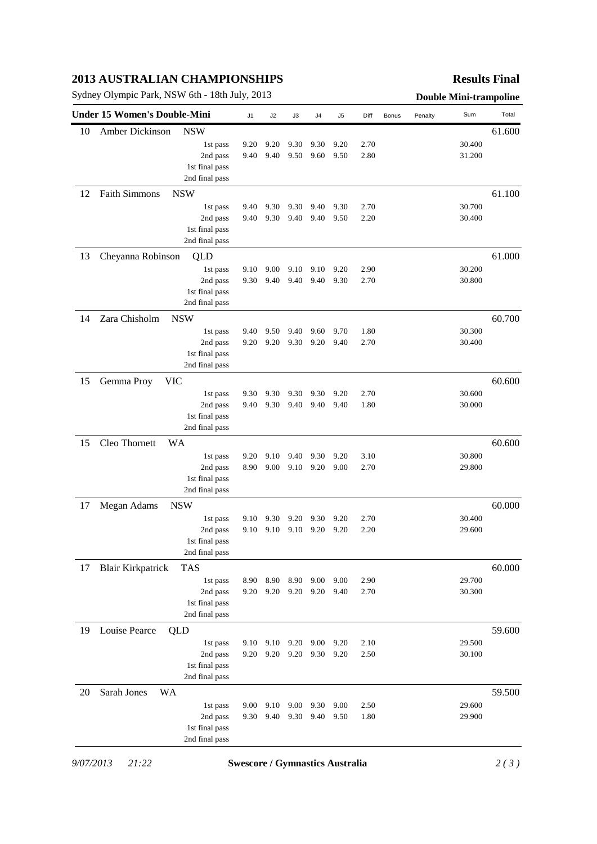# **2013 AUSTRALIAN CHAMPIONSHIPS**

Sydney Olympic Park, NSW 6th - 18th July, 2013 **Double Mini-trampoline** 

### **Results Final**

| 10<br>12 | Amber Dickinson          | <b>NSW</b><br>1st pass |      |      |      |      |      |      |  |        |        |
|----------|--------------------------|------------------------|------|------|------|------|------|------|--|--------|--------|
|          |                          |                        |      |      |      |      |      |      |  |        | 61.600 |
|          |                          |                        | 9.20 | 9.20 | 9.30 | 9.30 | 9.20 | 2.70 |  | 30.400 |        |
|          |                          | 2nd pass               | 9.40 | 9.40 | 9.50 | 9.60 | 9.50 | 2.80 |  | 31.200 |        |
|          |                          | 1st final pass         |      |      |      |      |      |      |  |        |        |
|          |                          | 2nd final pass         |      |      |      |      |      |      |  |        |        |
|          | <b>Faith Simmons</b>     | <b>NSW</b>             |      |      |      |      |      |      |  |        | 61.100 |
|          |                          | 1st pass               | 9.40 | 9.30 | 9.30 | 9.40 | 9.30 | 2.70 |  | 30.700 |        |
|          |                          | 2nd pass               | 9.40 | 9.30 | 9.40 | 9.40 | 9.50 | 2.20 |  | 30.400 |        |
|          |                          | 1st final pass         |      |      |      |      |      |      |  |        |        |
|          |                          | 2nd final pass         |      |      |      |      |      |      |  |        |        |
| 13       | Cheyanna Robinson        | QLD                    |      |      |      |      |      |      |  |        | 61.000 |
|          |                          | 1st pass               | 9.10 | 9.00 | 9.10 | 9.10 | 9.20 | 2.90 |  | 30.200 |        |
|          |                          | 2nd pass               | 9.30 | 9.40 | 9.40 | 9.40 | 9.30 | 2.70 |  | 30.800 |        |
|          |                          | 1st final pass         |      |      |      |      |      |      |  |        |        |
|          |                          | 2nd final pass         |      |      |      |      |      |      |  |        |        |
| 14       | Zara Chisholm            | <b>NSW</b>             |      |      |      |      |      |      |  |        | 60.700 |
|          |                          | 1st pass               | 9.40 | 9.50 | 9.40 | 9.60 | 9.70 | 1.80 |  | 30.300 |        |
|          |                          | 2nd pass               | 9.20 | 9.20 | 9.30 | 9.20 | 9.40 | 2.70 |  | 30.400 |        |
|          |                          | 1st final pass         |      |      |      |      |      |      |  |        |        |
|          |                          | 2nd final pass         |      |      |      |      |      |      |  |        |        |
| 15       | Gemma Proy<br><b>VIC</b> |                        |      |      |      |      |      |      |  |        | 60.600 |
|          |                          | 1st pass               | 9.30 | 9.30 | 9.30 | 9.30 | 9.20 | 2.70 |  | 30.600 |        |
|          |                          | 2nd pass               | 9.40 | 9.30 | 9.40 | 9.40 | 9.40 | 1.80 |  | 30.000 |        |
|          |                          | 1st final pass         |      |      |      |      |      |      |  |        |        |
|          |                          | 2nd final pass         |      |      |      |      |      |      |  |        |        |
| 15       | Cleo Thornett            | <b>WA</b>              |      |      |      |      |      |      |  |        | 60.600 |
|          |                          | 1st pass               | 9.20 | 9.10 | 9.40 | 9.30 | 9.20 | 3.10 |  | 30.800 |        |
|          |                          | 2nd pass               | 8.90 | 9.00 | 9.10 | 9.20 | 9.00 | 2.70 |  | 29.800 |        |
|          |                          | 1st final pass         |      |      |      |      |      |      |  |        |        |
|          |                          | 2nd final pass         |      |      |      |      |      |      |  |        |        |
| 17       | Megan Adams              | <b>NSW</b>             |      |      |      |      |      |      |  |        | 60.000 |
|          |                          | 1st pass               | 9.10 | 9.30 | 9.20 | 9.30 | 9.20 | 2.70 |  | 30.400 |        |
|          |                          | 2nd pass               | 9.10 | 9.10 | 9.10 | 9.20 | 9.20 | 2.20 |  | 29.600 |        |
|          |                          | 1st final pass         |      |      |      |      |      |      |  |        |        |
|          |                          | 2nd final pass         |      |      |      |      |      |      |  |        |        |
| 17       | <b>Blair Kirkpatrick</b> | TAS                    |      |      |      |      |      |      |  |        | 60.000 |
|          |                          | 1st pass               | 8.90 | 8.90 | 8.90 | 9.00 | 9.00 | 2.90 |  | 29.700 |        |
|          |                          | 2nd pass               | 9.20 | 9.20 | 9.20 | 9.20 | 9.40 | 2.70 |  | 30.300 |        |
|          |                          | 1st final pass         |      |      |      |      |      |      |  |        |        |
|          |                          | 2nd final pass         |      |      |      |      |      |      |  |        |        |
| 19       | Louise Pearce            | QLD                    |      |      |      |      |      |      |  |        | 59.600 |
|          |                          | 1st pass               | 9.10 | 9.10 | 9.20 | 9.00 | 9.20 | 2.10 |  | 29.500 |        |
|          |                          | 2nd pass               | 9.20 | 9.20 | 9.20 | 9.30 | 9.20 | 2.50 |  | 30.100 |        |
|          |                          | 1st final pass         |      |      |      |      |      |      |  |        |        |
|          |                          | 2nd final pass         |      |      |      |      |      |      |  |        |        |
| 20       | Sarah Jones<br>WA        |                        |      |      |      |      |      |      |  |        | 59.500 |
|          |                          | 1st pass               | 9.00 | 9.10 | 9.00 | 9.30 | 9.00 | 2.50 |  | 29.600 |        |
|          |                          | 2nd pass               | 9.30 | 9.40 | 9.30 | 9.40 | 9.50 | 1.80 |  | 29.900 |        |
|          |                          | 1st final pass         |      |      |      |      |      |      |  |        |        |
|          |                          | 2nd final pass         |      |      |      |      |      |      |  |        |        |

*9/07/2013 21:22* **Swescore / Gymnastics Australia** *2 ( 3 )*